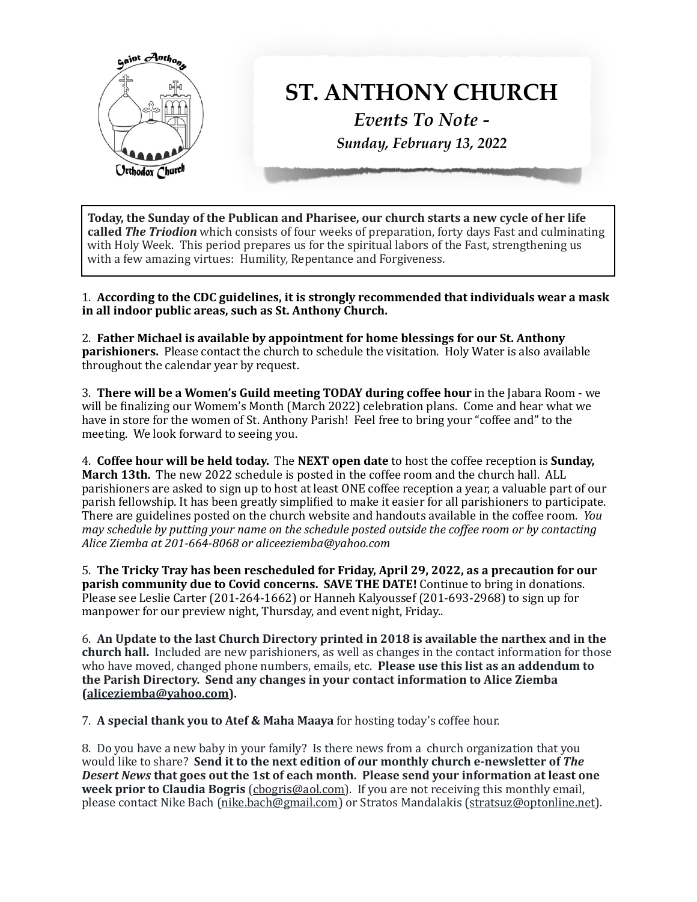

Today, the Sunday of the Publican and Pharisee, our church starts a new cycle of her life **called The Triodion** which consists of four weeks of preparation, forty days Fast and culminating with Holy Week. This period prepares us for the spiritual labors of the Fast, strengthening us with a few amazing virtues: Humility, Repentance and Forgiveness.

1. According to the CDC guidelines, it is strongly recommended that individuals wear a mask in all indoor public areas, such as St. Anthony Church.

2. Father Michael is available by appointment for home blessings for our St. Anthony **parishioners.** Please contact the church to schedule the visitation. Holy Water is also available throughout the calendar year by request.

**3. There will be a Women's Guild meeting TODAY during coffee hour** in the Jabara Room - we will be finalizing our Womem's Month (March 2022) celebration plans. Come and hear what we have in store for the women of St. Anthony Parish! Feel free to bring your "coffee and" to the meeting. We look forward to seeing you.

4. **Coffee hour will be held today.** The **NEXT** open date to host the coffee reception is **Sunday**, **March 13th.** The new 2022 schedule is posted in the coffee room and the church hall. ALL parishioners are asked to sign up to host at least ONE coffee reception a year, a valuable part of our parish fellowship. It has been greatly simplified to make it easier for all parishioners to participate. There are guidelines posted on the church website and handouts available in the coffee room. *You may schedule by putting your name on the schedule posted outside the coffee room or by contacting Alice Ziemba at 201-664-8068 or aliceeziemba@yahoo.com*

5. The Tricky Tray has been rescheduled for Friday, April 29, 2022, as a precaution for our **parish community due to Covid concerns. SAVE THE DATE!** Continue to bring in donations. Please see Leslie Carter  $(201-264-1662)$  or Hanneh Kalyoussef  $(201-693-2968)$  to sign up for manpower for our preview night, Thursday, and event night, Friday..

6. An Update to the last Church Directory printed in 2018 is available the narthex and in the church hall. Included are new parishioners, as well as changes in the contact information for those who have moved, changed phone numbers, emails, etc. **Please use this list as an addendum to the Parish Directory. Send any changes in your contact information to Alice Ziemba [\(aliceziemba@yahoo.com](mailto:aliceziemba@yahoo.com)).** 

**7. A special thank you to Atef & Maha Maaya** for hosting today's coffee hour.

8. Do you have a new baby in your family? Is there news from a church organization that you would like to share? Send it to the next edition of our monthly church e-newsletter of The **Desert News that goes out the 1st of each month. Please send your information at least one** week prior to Claudia Bogris (chogris@aol.com). If you are not receiving this monthly email, please contact Nike Bach ([nike.bach@gmail.com](mailto:nike.bach@gmail.com)) or Stratos Mandalakis ([stratsuz@optonline.net\)](mailto:stratsuz@optonline.net).